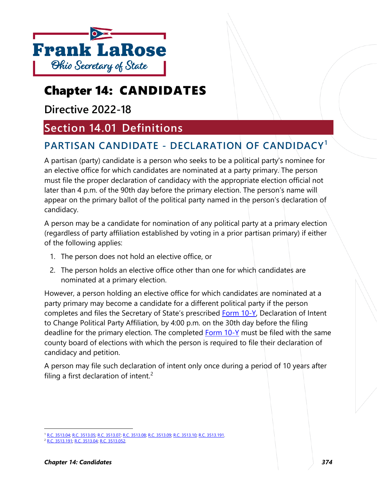

# Chapter 14: CANDIDATES

**Directive 2022-18**

# **Section 14.01 Definitions**

# **PARTISAN CANDIDATE - DECLARATION OF CANDIDACY[1](#page-0-0)**

A partisan (party) candidate is a person who seeks to be a political party's nominee for an elective office for which candidates are nominated at a party primary. The person must file the proper declaration of candidacy with the appropriate election official not later than 4 p.m. of the 90th day before the primary election. The person's name will appear on the primary ballot of the political party named in the person's declaration of candidacy.

A person may be a candidate for nomination of any political party at a primary election (regardless of party affiliation established by voting in a prior partisan primary) if either of the following applies:

- 1. The person does not hold an elective office, or
- 2. The person holds an elective office other than one for which candidates are nominated at a primary election.

However, a person holding an elective office for which candidates are nominated at a party primary may become a candidate for a different political party if the person completes and files the Secretary of State's prescribed [Form 10-Y,](https://www.ohiosos.gov/globalassets/elections/forms/10-y.pdf) Declaration of Intent to Change Political Party Affiliation, by 4:00 p.m. on the 30th day before the filing deadline for the primary election. The completed [Form 10-Y](https://www.ohiosos.gov/globalassets/elections/forms/10-y.pdf) must be filed with the same county board of elections with which the person is required to file their declaration of candidacy and petition.

A person may file such declaration of intent only once during a period of 10 years after filing a first declaration of intent.<sup>[2](#page-0-1)</sup>

<span id="page-0-0"></span><sup>1</sup> [R.C. 3513.04;](http://codes.ohio.gov/orc/3513.04) [R.C. 3513.05;](http://codes.ohio.gov/orc/3513.05) [R.C. 3513.07;](http://codes.ohio.gov/orc/3513.07) [R.C. 3513.08;](http://codes.ohio.gov/orc/3513.08) [R.C. 3513.09;](http://codes.ohio.gov/orc/3513.09) [R.C. 3513.10;](http://codes.ohio.gov/orc/3513.10) [R.C. 3513.191.](http://codes.ohio.gov/orc/3513.191)

<span id="page-0-1"></span>[R.C. 3513.191;](http://codes.ohio.gov/orc/3513.191) [R.C. 3513.04;](http://codes.ohio.gov/orc/3513.04) [R.C. 3513.052.](http://codes.ohio.gov/orc/3513.052)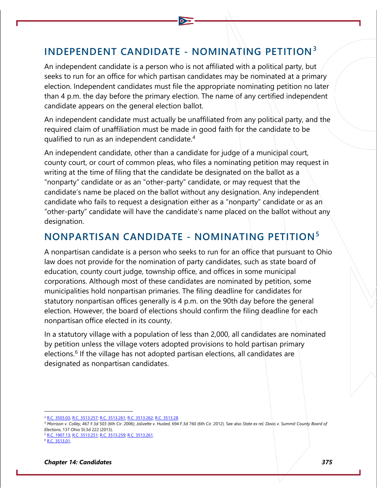# **INDEPENDENT CANDIDATE - NOMINATING PETITION[3](#page-1-0)**

An independent candidate is a person who is not affiliated with a political party, but seeks to run for an office for which partisan candidates may be nominated at a primary election. Independent candidates must file the appropriate nominating petition no later than 4 p.m. the day before the primary election. The name of any certified independent candidate appears on the general election ballot.

An independent candidate must actually be unaffiliated from any political party, and the required claim of unaffiliation must be made in good faith for the candidate to be qualified to run as an independent candidate.[4](#page-1-1)

An independent candidate, other than a candidate for judge of a municipal court, county court, or court of common pleas, who files a nominating petition may request in writing at the time of filing that the candidate be designated on the ballot as a "nonparty" candidate or as an "other-party" candidate, or may request that the candidate's name be placed on the ballot without any designation. Any independent candidate who fails to request a designation either as a "nonparty" candidate or as an "other-party" candidate will have the candidate's name placed on the ballot without any designation.

# **NONPARTISAN CANDIDATE - NOMINATING PETITION[5](#page-1-2)**

A nonpartisan candidate is a person who seeks to run for an office that pursuant to Ohio law does not provide for the nomination of party candidates, such as state board of education, county court judge, township office, and offices in some municipal corporations. Although most of these candidates are nominated by petition, some municipalities hold nonpartisan primaries. The filing deadline for candidates for statutory nonpartisan offices generally is 4 p.m. on the 90th day before the general election. However, the board of elections should confirm the filing deadline for each nonpartisan office elected in its county.

In a statutory village with a population of less than 2,000, all candidates are nominated by petition unless the village voters adopted provisions to hold partisan primary elections.<sup>[6](#page-1-3)</sup> If the village has not adopted partisan elections, all candidates are designated as nonpartisan candidates.

<span id="page-1-2"></span><sup>5</sup> [R.C. 1907.13;](http://codes.ohio.gov/orc/1907.13) [R.C. 3513.251](http://codes.ohio.gov/orc/3513.251)[; R.C. 3513.259;](http://codes.ohio.gov/orc/3513.259) [R.C. 3513.261.](http://codes.ohio.gov/orc/3513.261)

<sup>3</sup> [R.C. 3503.03;](http://codes.ohio.gov/orc/3503.03) [R.C. 3513.257;](http://codes.ohio.gov/orc/3513.257) [R.C. 3513.261;](http://codes.ohio.gov/orc/3513.261) [R.C. 3513.262;](http://codes.ohio.gov/orc/3513.262) [R.C. 3513.28.](http://codes.ohio.gov/orc/3513.28)

<span id="page-1-1"></span><span id="page-1-0"></span><sup>4</sup> *Morrison v. Colley*, 467 F.3d 503 (6th Cir. 2006); *Jolivette v. Husted*, 694 F.3d 760 (6th Cir. 2012). See also *State ex rel. Davis v. Summit County Board of Elections*, 137 Ohio St.3d 222 (2013).

<span id="page-1-3"></span>[R.C. 3513.01.](http://codes.ohio.gov/orc/3513.01)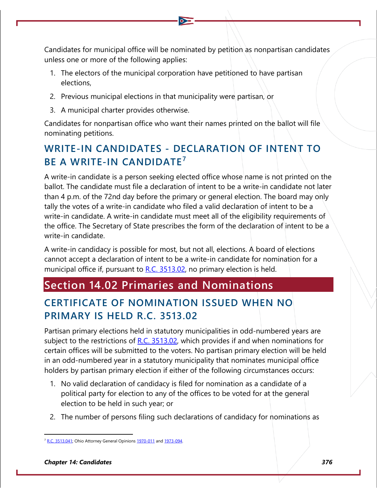Candidates for municipal office will be nominated by petition as nonpartisan candidates unless one or more of the following applies:

- 1. The electors of the municipal corporation have petitioned to have partisan elections,
- 2. Previous municipal elections in that municipality were partisan, or
- 3. A municipal charter provides otherwise.

Candidates for nonpartisan office who want their names printed on the ballot will file nominating petitions.

# **WRITE-IN CANDIDATES - DECLARATION OF INTENT TO BE A WRITE-IN CANDIDATE<sup>[7](#page-2-0)</sup>**

A write-in candidate is a person seeking elected office whose name is not printed on the ballot. The candidate must file a declaration of intent to be a write-in candidate not later than 4 p.m. of the 72nd day before the primary or general election. The board may only tally the votes of a write-in candidate who filed a valid declaration of intent to be a write-in candidate. A write-in candidate must meet all of the eligibility requirements of the office. The Secretary of State prescribes the form of the declaration of intent to be a write-in candidate.

A write-in candidacy is possible for most, but not all, elections. A board of elections cannot accept a declaration of intent to be a write-in candidate for nomination for a municipal office if, pursuant to  $R.C. 3513.02$ , no primary election is held.

# **Section 14.02 Primaries and Nominations**

# **CERTIFICATE OF NOMINATION ISSUED WHEN NO PRIMARY IS HELD R.C. 3513.02**

Partisan primary elections held in statutory municipalities in odd-numbered years are subject to the restrictions of  $R.C. 3513.02$ , which provides if and when nominations for certain offices will be submitted to the voters. No partisan primary election will be held in an odd-numbered year in a statutory municipality that nominates municipal office holders by partisan primary election if either of the following circumstances occurs:

- 1. No valid declaration of candidacy is filed for nomination as a candidate of a political party for election to any of the offices to be voted for at the general election to be held in such year; or
- 2. The number of persons filing such declarations of candidacy for nominations as

<span id="page-2-0"></span>[R.C. 3513.041;](http://codes.ohio.gov/orc/3513.041) Ohio Attorney General Opinion[s 1970-011](https://www.ohioattorneygeneral.gov/getattachment/cdb0aab2-443d-4bb2-987f-848b554271c3/1970-011.aspx) an[d 1973-094.](https://www.ohioattorneygeneral.gov/getattachment/005da72c-87d4-4fbf-8b78-4e223b1578be/1973-094.aspx)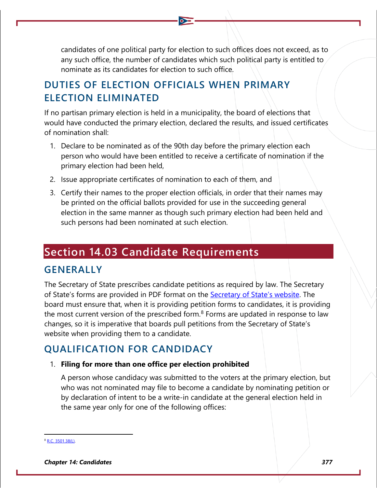candidates of one political party for election to such offices does not exceed, as to any such office, the number of candidates which such political party is entitled to nominate as its candidates for election to such office.

# **DUTIES OF ELECTION OFFICIALS WHEN PRIMARY ELECTION ELIMINATED**

If no partisan primary election is held in a municipality, the board of elections that would have conducted the primary election, declared the results, and issued certificates of nomination shall:

- 1. Declare to be nominated as of the 90th day before the primary election each person who would have been entitled to receive a certificate of nomination if the primary election had been held,
- 2. Issue appropriate certificates of nomination to each of them, and
- 3. Certify their names to the proper election officials, in order that their names may be printed on the official ballots provided for use in the succeeding general election in the same manner as though such primary election had been held and such persons had been nominated at such election.

# **Section 14.03 Candidate Requirements**

### **GENERALLY**

The Secretary of State prescribes candidate petitions as required by law. The Secretary of State's forms are provided in PDF format on the **Secretary of State's website**. The board must ensure that, when it is providing petition forms to candidates, it is providing the most current version of the prescribed form.<sup>[8](#page-3-0)</sup> Forms are updated in response to law changes, so it is imperative that boards pull petitions from the Secretary of State's website when providing them to a candidate.

### **QUALIFICATION FOR CANDIDACY**

#### 1. **Filing for more than one office per election prohibited**

A person whose candidacy was submitted to the voters at the primary election, but who was not nominated may file to become a candidate by nominating petition or by declaration of intent to be a write-in candidate at the general election held in the same year only for one of the following offices:

<span id="page-3-0"></span>[R.C. 3501.38\(L\).](http://codes.ohio.gov/orc/3501.38)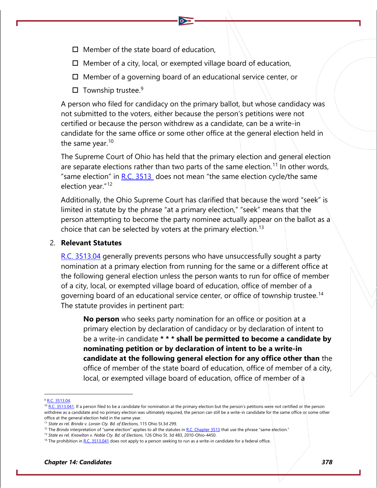- $\Box$  Member of the state board of education,
- $\Box$  Member of a city, local, or exempted village board of education,
- $\Box$  Member of a governing board of an educational service center, or
- $\square$  Township trustee.<sup>[9](#page-4-0)</sup>

A person who filed for candidacy on the primary ballot, but whose candidacy was not submitted to the voters, either because the person's petitions were not certified or because the person withdrew as a candidate, can be a write-in candidate for the same office or some other office at the general election held in the same year. $10$ 

The Supreme Court of Ohio has held that the primary election and general election are separate elections rather than two parts of the same election.<sup>[11](#page-4-2)</sup> In other words, "same election" in R.C.  $3513$  does not mean "the same election cycle/the same election year."[12](#page-4-3)

Additionally, the Ohio Supreme Court has clarified that because the word "seek" is limited in statute by the phrase "at a primary election," "seek" means that the person attempting to become the party nominee actually appear on the ballot as a choice that can be selected by voters at the primary election.<sup>[13](#page-4-4)</sup>

#### 2. **Relevant Statutes**

[R.C. 3513.04](http://codes.ohio.gov/orc/3513.04) generally prevents persons who have unsuccessfully sought a party nomination at a primary election from running for the same or a different office at the following general election unless the person wants to run for office of member of a city, local, or exempted village board of education, office of member of a governing board of an educational service center, or office of township trustee.[14](#page-4-5) The statute provides in pertinent part:

**No person** who seeks party nomination for an office or position at a primary election by declaration of candidacy or by declaration of intent to be a write-in candidate **\* \* \* shall be permitted to become a candidate by nominating petition or by declaration of intent to be a write-in candidate at the following general election for any office other than** the office of member of the state board of education, office of member of a city, local, or exempted village board of education, office of member of a

<span id="page-4-0"></span><sup>9</sup> [R.C. 3513.04.](http://codes.ohio.gov/orc/3513.04)

<span id="page-4-1"></span><sup>&</sup>lt;sup>10</sup> [R.C. 3513.041.](http://codes.ohio.gov/orc/3513.041) If a person filed to be a candidate for nomination at the primary election but the person's petitions were not certified or the person withdrew as a candidate and no primary election was ultimately required, the person can still be a write-in candidate for the same office or some other office at the general election held in the same year.

<span id="page-4-2"></span><sup>11</sup> *State ex rel. Brinda v. Lorain Cty. Bd. of Elections*, 115 Ohio St.3d 299.

<span id="page-4-3"></span><sup>&</sup>lt;sup>12</sup> The *Brinda* interpretation of "same election" applies to all the statutes i[n R.C. Chapter 3513](http://codes.ohio.gov/orc/3513) that use the phrase "same election."

<span id="page-4-4"></span><sup>13</sup> *State ex rel. Knowlton v. Noble Cty. Bd. of Elections*, 126 Ohio St. 3d 483, 2010-Ohio-4450.

<span id="page-4-5"></span><sup>&</sup>lt;sup>14</sup> The prohibition i[n R.C. 3513.041](http://codes.ohio.gov/orc/3513.041) does not apply to a person seeking to run as a write-in candidate for a federal office.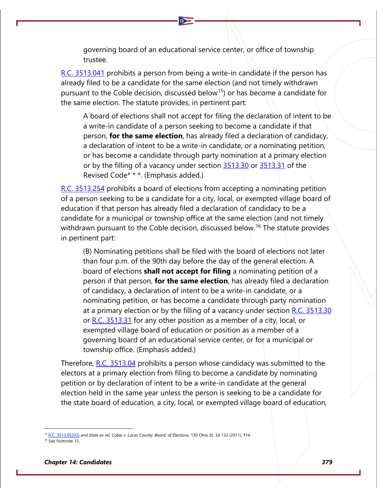governing board of an educational service center, or office of township trustee.

[R.C. 3513.041](http://codes.ohio.gov/orc/3513.041) prohibits a person from being a write-in candidate if the person has already filed to be a candidate for the same election (and not timely withdrawn pursuant to the Coble decision, discussed below<sup>15</sup>) or has become a candidate for the same election. The statute provides, in pertinent part:

A board of elections shall not accept for filing the declaration of intent to be a write-in candidate of a person seeking to become a candidate if that person, **for the same election**, has already filed a declaration of candidacy, a declaration of intent to be a write-in candidate, or a nominating petition, or has become a candidate through party nomination at a primary election or by the filling of a vacancy under section  $3513.30$  or  $3513.31$  of the Revised Code\* \* \*. (Emphasis added.)

[R.C. 3513.254](http://codes.ohio.gov/orc/3513.254) prohibits a board of elections from accepting a nominating petition of a person seeking to be a candidate for a city, local, or exempted village board of education if that person has already filed a declaration of candidacy to be a candidate for a municipal or township office at the same election (and not timely withdrawn pursuant to the Coble decision, discussed below.<sup>[16](#page-5-1)</sup> The statute provides in pertinent part:

(B) Nominating petitions shall be filed with the board of elections not later than four p.m. of the 90th day before the day of the general election. A board of elections **shall not accept for filing** a nominating petition of a person if that person, **for the same election**, has already filed a declaration of candidacy, a declaration of intent to be a write-in candidate, or a nominating petition, or has become a candidate through party nomination at a primary election or by the filling of a vacancy under section  $R.C. 3513.30$ or [R.C. 3513.31](http://codes.ohio.gov/orc/3513.31) for any other position as a member of a city, local, or exempted village board of education or position as a member of a governing board of an educational service center, or for a municipal or township office. (Emphasis added.)

Therefore, [R.C. 3513.04](http://codes.ohio.gov/orc/3513.04) prohibits a person whose candidacy was submitted to the electors at a primary election from filing to become a candidate by nominating petition or by declaration of intent to be a write-in candidate at the general election held in the same year unless the person is seeking to be a candidate for the state board of education, a city, local, or exempted village board of education,

<sup>&</sup>lt;sup>2</sup> [R.C. 3513.052\(G\)](http://codes.ohio.gov/orc/3513.052) and *State ex rel. Coble v. Lucas County. Board. of Elections*, 130 Ohio St. 3d 132 (2011), 114.

<span id="page-5-1"></span><span id="page-5-0"></span><sup>&</sup>lt;sup>16</sup> See footnote 15.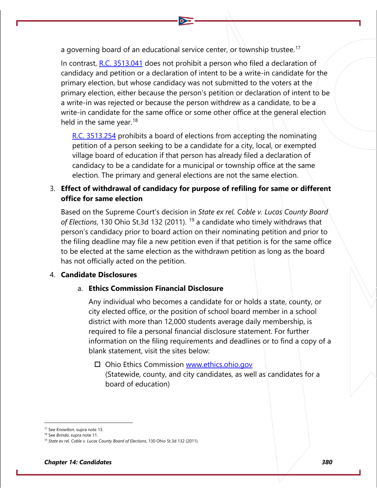a governing board of an educational service center, or township trustee.<sup>[17](#page-6-0)</sup>

In contrast,  $R.C. 3513.041$  does not prohibit a person who filed a declaration of candidacy and petition or a declaration of intent to be a write-in candidate for the primary election, but whose candidacy was not submitted to the voters at the primary election, either because the person's petition or declaration of intent to be a write-in was rejected or because the person withdrew as a candidate, to be a write-in candidate for the same office or some other office at the general election held in the same year.<sup>[18](#page-6-1)</sup>

[R.C. 3513.254](http://codes.ohio.gov/orc/3513.254) prohibits a board of elections from accepting the nominating petition of a person seeking to be a candidate for a city, local, or exempted village board of education if that person has already filed a declaration of candidacy to be a candidate for a municipal or township office at the same election. The primary and general elections are not the same election.

#### 3. **Effect of withdrawal of candidacy for purpose of refiling for same or different office for same election**

Based on the Supreme Court's decision in *State ex rel. Coble v. Lucas County Board of Elections*, 130 Ohio St.3d 132 (2011). [19](#page-6-2) a candidate who timely withdraws that person's candidacy prior to board action on their nominating petition and prior to the filing deadline may file a new petition even if that petition is for the same office to be elected at the same election as the withdrawn petition as long as the board has not officially acted on the petition.

#### 4. **Candidate Disclosures**

#### a. **Ethics Commission Financial Disclosure**

Any individual who becomes a candidate for or holds a state, county, or city elected office, or the position of school board member in a school district with more than 12,000 students average daily membership, is required to file a personal financial disclosure statement. For further information on the filing requirements and deadlines or to find a copy of a blank statement, visit the sites below:

□ Ohio Ethics Commission [www.ethics.ohio.gov](http://www.ethics.ohio.gov/) (Statewide, county, and city candidates, as well as candidates for a board of education)

<span id="page-6-0"></span><sup>17</sup> See *Knowlton*, supra note 13.

<span id="page-6-1"></span><sup>18</sup> See *Brinda*, supra note 11.

<span id="page-6-2"></span><sup>19</sup> *State ex rel. Coble v. Lucas County Board of Elections*, 130 Ohio St.3d 132 (2011).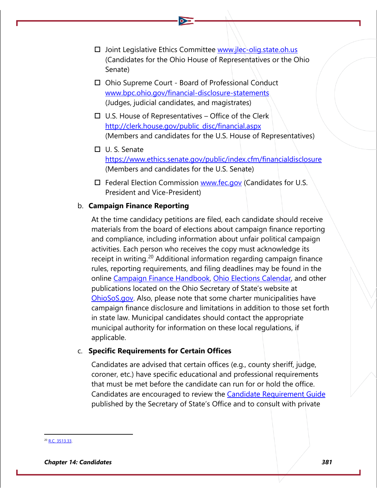- $\square$  Joint Legislative Ethics Committee [www.jlec-olig.state.oh.us](http://www.jlec-olig.state.oh.us/) (Candidates for the Ohio House of Representatives or the Ohio Senate)
- □ Ohio Supreme Court Board of Professional Conduct [www.bpc.ohio.gov/financial-disclosure-statements](http://www.bpc.ohio.gov/financial-disclosure-statements) (Judges, judicial candidates, and magistrates)
- $\Box$  U.S. House of Representatives Office of the Clerk [http://clerk.house.gov/public\\_disc/financial.aspx](http://clerk.house.gov/public_disc/financial.aspx) (Members and candidates for the U.S. House of Representatives)
- U. S. Senate <https://www.ethics.senate.gov/public/index.cfm/financialdisclosure> (Members and candidates for the U.S. Senate)
- $\Box$  Federal Election Commission [www.fec.gov](http://www.fec.gov/) (Candidates for U.S. President and Vice-President)

#### b. **Campaign Finance Reporting**

At the time candidacy petitions are filed, each candidate should receive materials from the board of elections about campaign finance reporting and compliance, including information about unfair political campaign activities. Each person who receives the copy must acknowledge its receipt in writing.<sup>[20](#page-7-0)</sup> Additional information regarding campaign finance rules, reporting requirements, and filing deadlines may be found in the online [Campaign Finance Handbook,](https://www.ohiosos.gov/campaign-finance/campaign-finance-handbook/) [Ohio Elections Calendar,](https://www.ohiosos.gov/publications/2021-elections-calendar/) and other publications located on the Ohio Secretary of State's website at [OhioSoS.gov.](https://www.ohiosos.gov/elections/elections-officials/) Also, please note that some charter municipalities have campaign finance disclosure and limitations in addition to those set forth in state law. Municipal candidates should contact the appropriate municipal authority for information on these local regulations, if applicable.

#### c. **Specific Requirements for Certain Offices**

Candidates are advised that certain offices (e.g., county sheriff, judge, coroner, etc.) have specific educational and professional requirements that must be met before the candidate can run for or hold the office. Candidates are encouraged to review the [Candidate Requirement Guide](https://www.ohiosos.gov/globalassets/publications/election/2021_crg.pdf) published by the Secretary of State's Office and to consult with private

<span id="page-7-0"></span><sup>&</sup>lt;sup>20</sup> [R.C. 3513.33.](http://codes.ohio.gov/orc/3513.33)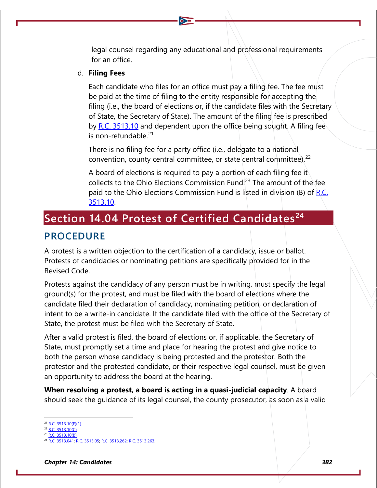legal counsel regarding any educational and professional requirements for an office.

#### d. **Filing Fees**

Each candidate who files for an office must pay a filing fee. The fee must be paid at the time of filing to the entity responsible for accepting the filing (i.e., the board of elections or, if the candidate files with the Secretary of State, the Secretary of State). The amount of the filing fee is prescribed by [R.C. 3513.10](http://codes.ohio.gov/orc/3513.10) and dependent upon the office being sought. A filing fee is non-refundable. $21$ 

There is no filing fee for a party office (i.e., delegate to a national convention, county central committee, or state central committee). $^{22}$  $^{22}$  $^{22}$ 

A board of elections is required to pay a portion of each filing fee it collects to the Ohio Elections Commission Fund.<sup>[23](#page-8-2)</sup> The amount of the fee paid to the Ohio Elections Commission Fund is listed in division (B) of R.C. [3513.10.](http://codes.ohio.gov/orc/3513.10)

# **Section 14.04 Protest of Certified Candidates[24](#page-8-3)**

### **PROCEDURE**

A protest is a written objection to the certification of a candidacy, issue or ballot. Protests of candidacies or nominating petitions are specifically provided for in the Revised Code.

Protests against the candidacy of any person must be in writing, must specify the legal ground(s) for the protest, and must be filed with the board of elections where the candidate filed their declaration of candidacy, nominating petition, or declaration of intent to be a write-in candidate. If the candidate filed with the office of the Secretary of State, the protest must be filed with the Secretary of State.

After a valid protest is filed, the board of elections or, if applicable, the Secretary of State, must promptly set a time and place for hearing the protest and give notice to both the person whose candidacy is being protested and the protestor. Both the protestor and the protested candidate, or their respective legal counsel, must be given an opportunity to address the board at the hearing.

**When resolving a protest, a board is acting in a quasi-judicial capacity**. A board should seek the guidance of its legal counsel, the county prosecutor, as soon as a valid

<span id="page-8-0"></span> $1$  [R.C. 3513.10\(F\)\(1\).](http://codes.ohio.gov/orc/3513.10)

<span id="page-8-1"></span><sup>22</sup> [R.C. 3513.10\(C\).](http://codes.ohio.gov/orc/3513.10) 3513.10(B).

<span id="page-8-3"></span><span id="page-8-2"></span><sup>8513.041;</sup> [R.C. 3513.05;](http://codes.ohio.gov/orc/3513.05) [R.C. 3513.262;](http://codes.ohio.gov/orc/3513.262) [R.C. 3513.263.](http://codes.ohio.gov/orc/3513.263)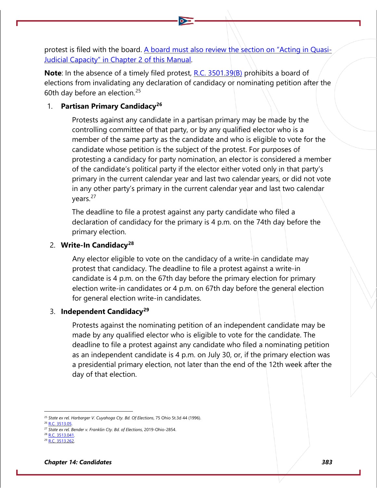protest is filed with the board. A board must also review the section on "Acting in Quasi-Judicial Capacity" in Chapter 2 of this Manual.

**Note**: In the absence of a timely filed protest, [R.C. 3501.39\(B\)](http://codes.ohio.gov/orc/3501.39) prohibits a board of elections from invalidating any declaration of candidacy or nominating petition after the 60th day before an election.[25](#page-9-0)

#### 1. **Partisan Primary Candidacy[26](#page-9-1)**

Protests against any candidate in a partisan primary may be made by the controlling committee of that party, or by any qualified elector who is a member of the same party as the candidate and who is eligible to vote for the candidate whose petition is the subject of the protest. For purposes of protesting a candidacy for party nomination, an elector is considered a member of the candidate's political party if the elector either voted only in that party's primary in the current calendar year and last two calendar years, or did not vote in any other party's primary in the current calendar year and last two calendar years.<sup>[27](#page-9-2)</sup>

The deadline to file a protest against any party candidate who filed a declaration of candidacy for the primary is 4 p.m. on the 74th day before the primary election.

#### 2. **Write-In Candidacy[28](#page-9-3)**

Any elector eligible to vote on the candidacy of a write-in candidate may protest that candidacy. The deadline to file a protest against a write-in candidate is 4 p.m. on the 67th day before the primary election for primary election write-in candidates or 4 p.m. on 67th day before the general election for general election write-in candidates.

#### 3. **Independent Candidacy[29](#page-9-4)**

Protests against the nominating petition of an independent candidate may be made by any qualified elector who is eligible to vote for the candidate. The deadline to file a protest against any candidate who filed a nominating petition as an independent candidate is 4 p.m. on July 30, or, if the primary election was a presidential primary election, not later than the end of the 12th week after the day of that election.

<span id="page-9-0"></span><sup>25</sup> *State ex rel. Harbarger V. Cuyahoga Cty. Bd. Of Elections*, 75 Ohio St.3d 44 (1996).

<span id="page-9-1"></span><sup>26</sup> [R.C. 3513.05.](http://codes.ohio.gov/orc/3513.05)

<span id="page-9-2"></span><sup>27</sup> *State ex rel. Bender v. Franklin Cty. Bd. of Elections*, 2019-Ohio-2854.

<span id="page-9-3"></span>**B.R.C. 3513.041** 

<span id="page-9-4"></span><sup>29</sup> [R.C. 3513.262.](http://codes.ohio.gov/orc/3513.262)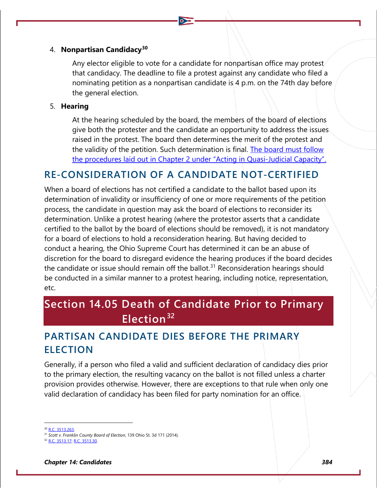#### 4. **Nonpartisan Candidacy[30](#page-10-0)**

Any elector eligible to vote for a candidate for nonpartisan office may protest that candidacy. The deadline to file a protest against any candidate who filed a nominating petition as a nonpartisan candidate is 4 p.m. on the 74th day before the general election.

#### 5. **Hearing**

At the hearing scheduled by the board, the members of the board of elections give both the protester and the candidate an opportunity to address the issues raised in the protest. The board then determines the merit of the protest and the validity of the petition. Such determination is final. The board must follow the procedures laid out in Chapter 2 under "Acting in Quasi-Judicial Capacity".

### **RE-CONSIDERATION OF A CANDIDATE NOT-CERTIFIED**

When a board of elections has not certified a candidate to the ballot based upon its determination of invalidity or insufficiency of one or more requirements of the petition process, the candidate in question may ask the board of elections to reconsider its determination. Unlike a protest hearing (where the protestor asserts that a candidate certified to the ballot by the board of elections should be removed), it is not mandatory for a board of elections to hold a reconsideration hearing. But having decided to conduct a hearing, the Ohio Supreme Court has determined it can be an abuse of discretion for the board to disregard evidence the hearing produces if the board decides the candidate or issue should remain off the ballot.<sup>[31](#page-10-1)</sup> Reconsideration hearings should be conducted in a similar manner to a protest hearing, including notice, representation, etc.

# **Section 14.05 Death of Candidate Prior to Primary Election[32](#page-10-2)**

## **PARTISAN CANDIDATE DIES BEFORE THE PRIMARY ELECTION**

Generally, if a person who filed a valid and sufficient declaration of candidacy dies prior to the primary election, the resulting vacancy on the ballot is not filled unless a charter provision provides otherwise. However, there are exceptions to that rule when only one valid declaration of candidacy has been filed for party nomination for an office.

30 R.C. 3513.263

<span id="page-10-1"></span><span id="page-10-0"></span><sup>31</sup> *Scott v. Franklin County Board of Election*, 139 Ohio St. 3d 171 (2014).

<span id="page-10-2"></span>**[R.C. 3513.17;](http://codes.ohio.gov/orc/3513.17) [R.C. 3513.30.](http://codes.ohio.gov/orc/3513.30)**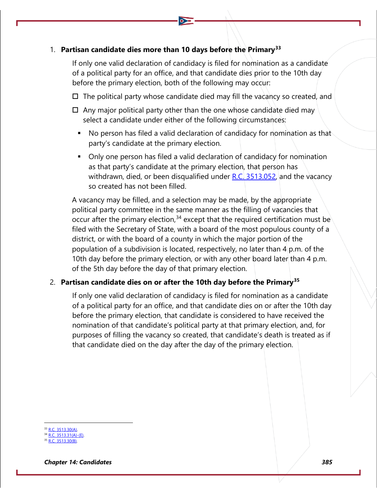#### 1. **Partisan candidate dies more than 10 days before the Primary[33](#page-11-0)**

If only one valid declaration of candidacy is filed for nomination as a candidate of a political party for an office, and that candidate dies prior to the 10th day before the primary election, both of the following may occur:

- $\Box$  The political party whose candidate died may fill the vacancy so created, and
- $\Box$  Any major political party other than the one whose candidate died may select a candidate under either of the following circumstances:
	- No person has filed a valid declaration of candidacy for nomination as that party's candidate at the primary election.
	- Only one person has filed a valid declaration of candidacy for nomination as that party's candidate at the primary election, that person has withdrawn, died, or been disqualified under R.C.  $3513.052$ , and the vacancy so created has not been filled.

A vacancy may be filled, and a selection may be made, by the appropriate political party committee in the same manner as the filling of vacancies that occur after the primary election,<sup>[34](#page-11-1)</sup> except that the required certification must be filed with the Secretary of State, with a board of the most populous county of a district, or with the board of a county in which the major portion of the population of a subdivision is located, respectively, no later than 4 p.m. of the 10th day before the primary election, or with any other board later than 4 p.m. of the 5th day before the day of that primary election.

#### 2. **Partisan candidate dies on or after the 10th day before the Primary[35](#page-11-2)**

If only one valid declaration of candidacy is filed for nomination as a candidate of a political party for an office, and that candidate dies on or after the 10th day before the primary election, that candidate is considered to have received the nomination of that candidate's political party at that primary election, and, for purposes of filling the vacancy so created, that candidate's death is treated as if that candidate died on the day after the day of the primary election.

<span id="page-11-0"></span>33 [R.C. 3513.30\(A\).](http://codes.ohio.gov/orc/3513.30)

 $R.C. 3513.31(A)$ -(E). 3513.30(B).

<span id="page-11-2"></span><span id="page-11-1"></span>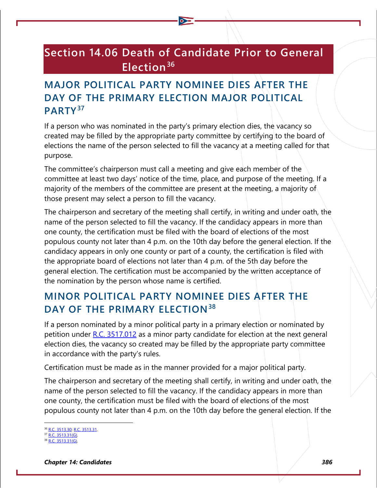# **Section 14.06 Death of Candidate Prior to General Election[36](#page-12-0)**

# **MAJOR POLITICAL PARTY NOMINEE DIES AFTER THE DAY OF THE PRIMARY ELECTION MAJOR POLITICAL PARTY[37](#page-12-1)**

If a person who was nominated in the party's primary election dies, the vacancy so created may be filled by the appropriate party committee by certifying to the board of elections the name of the person selected to fill the vacancy at a meeting called for that purpose.

The committee's chairperson must call a meeting and give each member of the committee at least two days' notice of the time, place, and purpose of the meeting. If a majority of the members of the committee are present at the meeting, a majority of those present may select a person to fill the vacancy.

The chairperson and secretary of the meeting shall certify, in writing and under oath, the name of the person selected to fill the vacancy. If the candidacy appears in more than one county, the certification must be filed with the board of elections of the most populous county not later than 4 p.m. on the 10th day before the general election. If the candidacy appears in only one county or part of a county, the certification is filed with the appropriate board of elections not later than 4 p.m. of the 5th day before the general election. The certification must be accompanied by the written acceptance of the nomination by the person whose name is certified.

# **MINOR POLITICAL PARTY NOMINEE DIES AFTER THE DAY OF THE PRIMARY ELECTION[38](#page-12-2)**

If a person nominated by a minor political party in a primary election or nominated by petition under  $R.C. 3517.012$  as a minor party candidate for election at the next general election dies, the vacancy so created may be filled by the appropriate party committee in accordance with the party's rules.

Certification must be made as in the manner provided for a major political party.

The chairperson and secretary of the meeting shall certify, in writing and under oath, the name of the person selected to fill the vacancy. If the candidacy appears in more than one county, the certification must be filed with the board of elections of the most populous county not later than 4 p.m. on the 10th day before the general election. If the

<span id="page-12-0"></span>[R.C. 3513.30;](http://codes.ohio.gov/orc/3513.30) [R.C. 3513.31.](http://codes.ohio.gov/orc/3513.31)

 $\sqrt{7}$  [R.C. 3513.31\(G\).](http://codes.ohio.gov/orc/3513.31)

<span id="page-12-2"></span><span id="page-12-1"></span><sup>38</sup> [R.C. 3513.31\(G\).](http://codes.ohio.gov/orc/3513.31)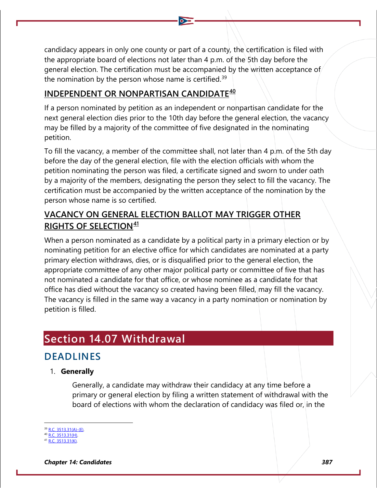candidacy appears in only one county or part of a county, the certification is filed with the appropriate board of elections not later than 4 p.m. of the 5th day before the general election. The certification must be accompanied by the written acceptance of the nomination by the person whose name is certified.<sup>[39](#page-13-0)</sup>

### **INDEPENDENT OR NONPARTISAN CANDIDATE[40](#page-13-1)**

If a person nominated by petition as an independent or nonpartisan candidate for the next general election dies prior to the 10th day before the general election, the vacancy may be filled by a majority of the committee of five designated in the nominating petition.

To fill the vacancy, a member of the committee shall, not later than 4 p.m. of the 5th day before the day of the general election, file with the election officials with whom the petition nominating the person was filed, a certificate signed and sworn to under oath by a majority of the members, designating the person they select to fill the vacancy. The certification must be accompanied by the written acceptance of the nomination by the person whose name is so certified.

### **VACANCY ON GENERAL ELECTION BALLOT MAY TRIGGER OTHER RIGHTS OF SELECTION[41](#page-13-2)**

When a person nominated as a candidate by a political party in a primary election or by nominating petition for an elective office for which candidates are nominated at a party primary election withdraws, dies, or is disqualified prior to the general election, the appropriate committee of any other major political party or committee of five that has not nominated a candidate for that office, or whose nominee as a candidate for that office has died without the vacancy so created having been filled, may fill the vacancy. The vacancy is filled in the same way a vacancy in a party nomination or nomination by petition is filled.

# **Section 14.07 Withdrawal**

## **DEADLINES**

#### 1. **Generally**

Generally, a candidate may withdraw their candidacy at any time before a primary or general election by filing a written statement of withdrawal with the board of elections with whom the declaration of candidacy was filed or, in the

*Chapter 14: Candidates 387*

[R.C. 3513.31\(A\)-\(E\).](http://codes.ohio.gov/orc/3513.31)

<span id="page-13-0"></span> $\sqrt{R.C.}$  3513.31(H).

<span id="page-13-2"></span><span id="page-13-1"></span> $2.3513.31(K)$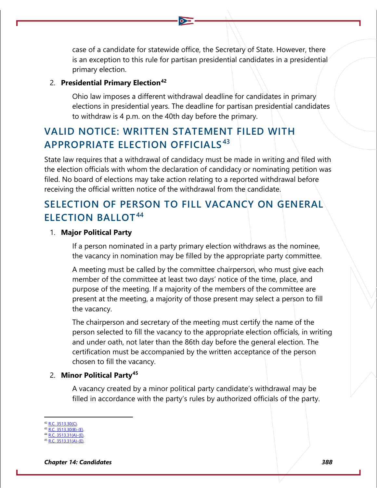case of a candidate for statewide office, the Secretary of State. However, there is an exception to this rule for partisan presidential candidates in a presidential primary election.

#### 2. **Presidential Primary Election[42](#page-14-0)**

Ohio law imposes a different withdrawal deadline for candidates in primary elections in presidential years. The deadline for partisan presidential candidates to withdraw is 4 p.m. on the 40th day before the primary.

### **VALID NOTICE: WRITTEN STATEMENT FILED WITH APPROPRIATE ELECTION OFFICIALS[43](#page-14-1)**

State law requires that a withdrawal of candidacy must be made in writing and filed with the election officials with whom the declaration of candidacy or nominating petition was filed. No board of elections may take action relating to a reported withdrawal before receiving the official written notice of the withdrawal from the candidate.

### **SELECTION OF PERSON TO FILL VACANCY ON GENERAL ELECTION BALLOT[44](#page-14-2)**

#### 1. **Major Political Party**

If a person nominated in a party primary election withdraws as the nominee, the vacancy in nomination may be filled by the appropriate party committee.

A meeting must be called by the committee chairperson, who must give each member of the committee at least two days' notice of the time, place, and purpose of the meeting. If a majority of the members of the committee are present at the meeting, a majority of those present may select a person to fill the vacancy.

The chairperson and secretary of the meeting must certify the name of the person selected to fill the vacancy to the appropriate election officials, in writing and under oath, not later than the 86th day before the general election. The certification must be accompanied by the written acceptance of the person chosen to fill the vacancy.

#### 2. **Minor Political Party[45](#page-14-3)**

A vacancy created by a minor political party candidate's withdrawal may be filled in accordance with the party's rules by authorized officials of the party.

<span id="page-14-0"></span>[R.C. 3513.30\(C\).](http://codes.ohio.gov/orc/3513.30)

<span id="page-14-1"></span> $R.C. 3513.30(B)$ -(E).  $3513.31(A) - (F)$ 

<span id="page-14-3"></span><span id="page-14-2"></span><sup>45</sup> [R.C. 3513.31\(A\)-\(E\).](http://codes.ohio.gov/orc/3513.31)

*Chapter 14: Candidates 388*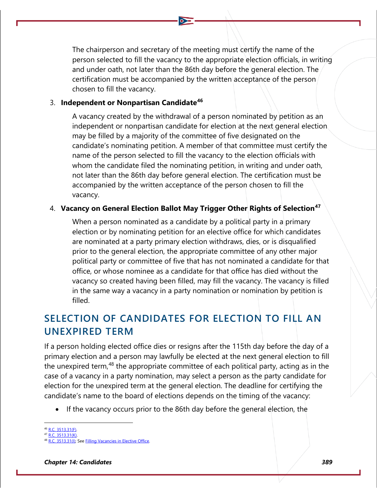The chairperson and secretary of the meeting must certify the name of the person selected to fill the vacancy to the appropriate election officials, in writing and under oath, not later than the 86th day before the general election. The certification must be accompanied by the written acceptance of the person chosen to fill the vacancy.

#### 3. **Independent or Nonpartisan Candidate[46](#page-15-0)**

A vacancy created by the withdrawal of a person nominated by petition as an independent or nonpartisan candidate for election at the next general election may be filled by a majority of the committee of five designated on the candidate's nominating petition. A member of that committee must certify the name of the person selected to fill the vacancy to the election officials with whom the candidate filed the nominating petition, in writing and under oath, not later than the 86th day before general election. The certification must be accompanied by the written acceptance of the person chosen to fill the vacancy.

#### 4. **Vacancy on General Election Ballot May Trigger Other Rights of Selection[47](#page-15-1)**

When a person nominated as a candidate by a political party in a primary election or by nominating petition for an elective office for which candidates are nominated at a party primary election withdraws, dies, or is disqualified prior to the general election, the appropriate committee of any other major political party or committee of five that has not nominated a candidate for that office, or whose nominee as a candidate for that office has died without the vacancy so created having been filled, may fill the vacancy. The vacancy is filled in the same way a vacancy in a party nomination or nomination by petition is filled.

# **SELECTION OF CANDIDATES FOR ELECTION TO FILL AN UNEXPIRED TERM**

If a person holding elected office dies or resigns after the 115th day before the day of a primary election and a person may lawfully be elected at the next general election to fill the unexpired term,<sup>[48](#page-15-2)</sup> the appropriate committee of each political party, acting as in the case of a vacancy in a party nomination, may select a person as the party candidate for election for the unexpired term at the general election. The deadline for certifying the candidate's name to the board of elections depends on the timing of the vacancy:

• If the vacancy occurs prior to the 86th day before the general election, the

<span id="page-15-0"></span><sup>46</sup> [R.C. 3513.31\(F\).](http://codes.ohio.gov/orc/3513.31)

<span id="page-15-1"></span><sup>3513.31(</sup>K).

<span id="page-15-2"></span><sup>3513.31(</sup>I); See [Filling Vacancies in Elective Office.](https://www.ohiosos.gov/globalassets/elections/eoresources/general/fillingvacancies.pdf)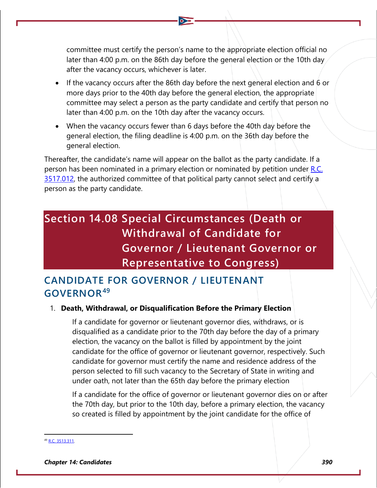committee must certify the person's name to the appropriate election official no later than 4:00 p.m. on the 86th day before the general election or the 10th day after the vacancy occurs, whichever is later.

- If the vacancy occurs after the 86th day before the next general election and 6 or more days prior to the 40th day before the general election, the appropriate committee may select a person as the party candidate and certify that person no later than 4:00 p.m. on the 10th day after the vacancy occurs.
- When the vacancy occurs fewer than 6 days before the 40th day before the general election, the filing deadline is 4:00 p.m. on the 36th day before the general election.

Thereafter, the candidate's name will appear on the ballot as the party candidate. If a person has been nominated in a primary election or nominated by petition under R.C. [3517.012,](https://codes.ohio.gov/ohio-revised-code/section-3517.012) the authorized committee of that political party cannot select and certify a person as the party candidate.

# **Section 14.08 Special Circumstances (Death or Withdrawal of Candidate for Governor / Lieutenant Governor or Representative to Congress)**

### **CANDIDATE FOR GOVERNOR / LIEUTENANT GOVERNOR[49](#page-16-0)**

#### 1. **Death, Withdrawal, or Disqualification Before the Primary Election**

If a candidate for governor or lieutenant governor dies, withdraws, or is disqualified as a candidate prior to the 70th day before the day of a primary election, the vacancy on the ballot is filled by appointment by the joint candidate for the office of governor or lieutenant governor, respectively. Such candidate for governor must certify the name and residence address of the person selected to fill such vacancy to the Secretary of State in writing and under oath, not later than the 65th day before the primary election

If a candidate for the office of governor or lieutenant governor dies on or after the 70th day, but prior to the 10th day, before a primary election, the vacancy so created is filled by appointment by the joint candidate for the office of

<span id="page-16-0"></span>[R.C. 3513.311.](http://codes.ohio.gov/orc/3513.311)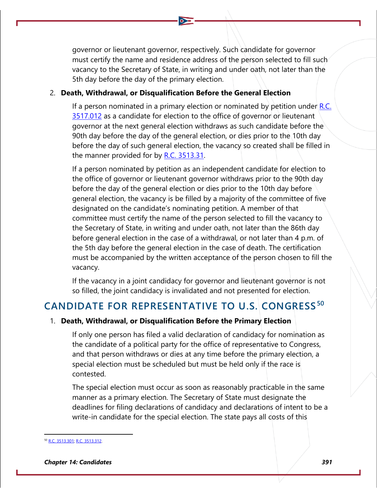governor or lieutenant governor, respectively. Such candidate for governor must certify the name and residence address of the person selected to fill such vacancy to the Secretary of State, in writing and under oath, not later than the 5th day before the day of the primary election.

#### 2. **Death, Withdrawal, or Disqualification Before the General Election**

If a person nominated in a primary election or nominated by petition under  $R.C.$ [3517.012](http://codes.ohio.gov/orc/3517.012) as a candidate for election to the office of governor or lieutenant governor at the next general election withdraws as such candidate before the 90th day before the day of the general election, or dies prior to the 10th day before the day of such general election, the vacancy so created shall be filled in the manner provided for by [R.C. 3513.31.](http://codes.ohio.gov/orc/3513.31)

If a person nominated by petition as an independent candidate for election to the office of governor or lieutenant governor withdraws prior to the 90th day before the day of the general election or dies prior to the 10th day before general election, the vacancy is be filled by a majority of the committee of five designated on the candidate's nominating petition. A member of that committee must certify the name of the person selected to fill the vacancy to the Secretary of State, in writing and under oath, not later than the 86th day before general election in the case of a withdrawal, or not later than 4 p.m. of the 5th day before the general election in the case of death. The certification must be accompanied by the written acceptance of the person chosen to fill the vacancy.

If the vacancy in a joint candidacy for governor and lieutenant governor is not so filled, the joint candidacy is invalidated and not presented for election.

### **CANDIDATE FOR REPRESENTATIVE TO U.S. CONGRESS [50](#page-17-0)**

#### 1. **Death, Withdrawal, or Disqualification Before the Primary Election**

If only one person has filed a valid declaration of candidacy for nomination as the candidate of a political party for the office of representative to Congress, and that person withdraws or dies at any time before the primary election, a special election must be scheduled but must be held only if the race is contested.

The special election must occur as soon as reasonably practicable in the same manner as a primary election. The Secretary of State must designate the deadlines for filing declarations of candidacy and declarations of intent to be a write-in candidate for the special election. The state pays all costs of this

<span id="page-17-0"></span>[R.C. 3513.301;](http://codes.ohio.gov/orc/3513.301) [R.C. 3513.312.](http://codes.ohio.gov/orc/3513.312)